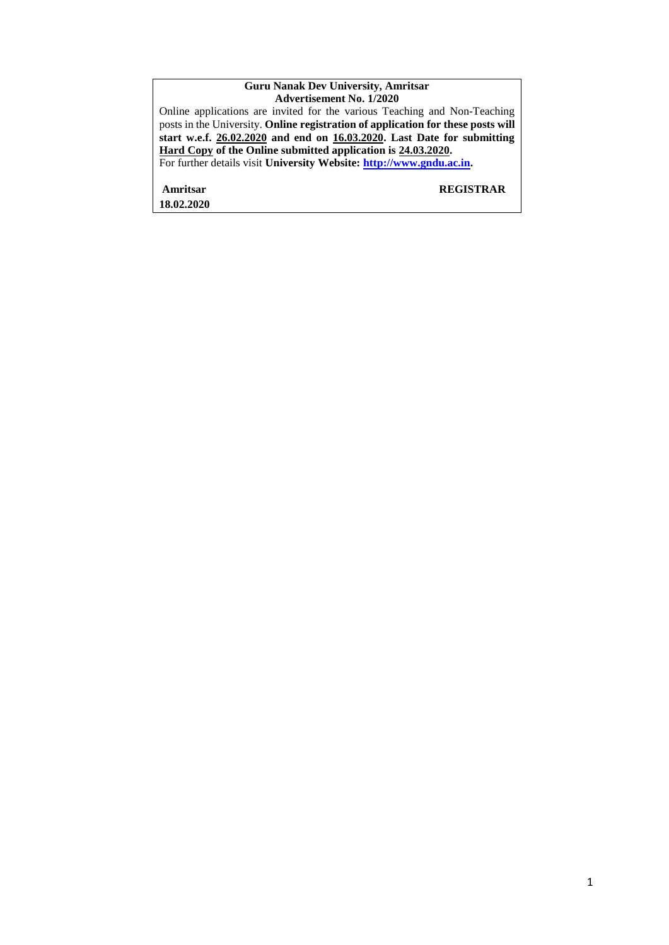#### **Guru Nanak Dev University, Amritsar Advertisement No. 1/2020**

Online applications are invited for the various Teaching and Non-Teaching posts in the University. **Online registration of application for these posts will start w.e.f. 26.02.2020 and end on 16.03.2020. Last Date for submitting Hard Copy of the Online submitted application is 24.03.2020.**  For further details visit **University Website: [http://www.gndu.ac.in.](http://www.gndu.ac.in/)** 

**Amritsar REGISTRAR 18.02.2020**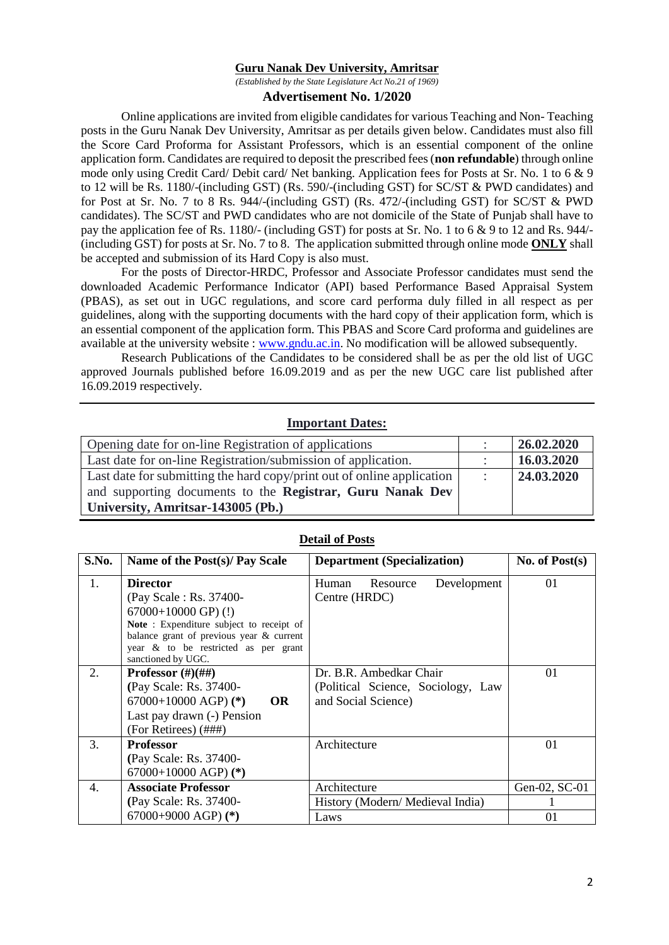#### **Guru Nanak Dev University, Amritsar**

*(Established by the State Legislature Act No.21 of 1969)*

#### **Advertisement No. 1/2020**

Online applications are invited from eligible candidates for various Teaching and Non- Teaching posts in the Guru Nanak Dev University, Amritsar as per details given below. Candidates must also fill the Score Card Proforma for Assistant Professors, which is an essential component of the online application form. Candidates are required to deposit the prescribed fees (**non refundable**) through online mode only using Credit Card/ Debit card/ Net banking. Application fees for Posts at Sr. No. 1 to 6 & 9 to 12 will be Rs. 1180/-(including GST) (Rs. 590/-(including GST) for SC/ST & PWD candidates) and for Post at Sr. No. 7 to 8 Rs. 944/-(including GST) (Rs. 472/-(including GST) for SC/ST & PWD candidates). The SC/ST and PWD candidates who are not domicile of the State of Punjab shall have to pay the application fee of Rs. 1180/- (including GST) for posts at Sr. No. 1 to 6 & 9 to 12 and Rs. 944/- (including GST) for posts at Sr. No. 7 to 8. The application submitted through online mode **ONLY** shall be accepted and submission of its Hard Copy is also must.

For the posts of Director-HRDC, Professor and Associate Professor candidates must send the downloaded Academic Performance Indicator (API) based Performance Based Appraisal System (PBAS), as set out in UGC regulations, and score card performa duly filled in all respect as per guidelines, along with the supporting documents with the hard copy of their application form, which is an essential component of the application form. This PBAS and Score Card proforma and guidelines are available at the university website : [www.gndu.ac.in.](http://www.gndu.ac.in/) No modification will be allowed subsequently.

Research Publications of the Candidates to be considered shall be as per the old list of UGC approved Journals published before 16.09.2019 and as per the new UGC care list published after 16.09.2019 respectively.

#### **Important Dates:**

| Opening date for on-line Registration of applications                  | 26.02.2020 |
|------------------------------------------------------------------------|------------|
| Last date for on-line Registration/submission of application.          | 16.03.2020 |
| Last date for submitting the hard copy/print out of online application | 24.03.2020 |
| and supporting documents to the Registrar, Guru Nanak Dev              |            |
| University, Amritsar-143005 (Pb.)                                      |            |

| S.No. | Name of the Post(s)/ Pay Scale                                                                                                                                                                                             | <b>Department (Specialization)</b>                                                   | No. of $Post(s)$    |
|-------|----------------------------------------------------------------------------------------------------------------------------------------------------------------------------------------------------------------------------|--------------------------------------------------------------------------------------|---------------------|
| 1.    | <b>Director</b><br>(Pay Scale: Rs. 37400-<br>$67000+10000$ GP) (!)<br>Note: Expenditure subject to receipt of<br>balance grant of previous year $\&$ current<br>year & to be restricted as per grant<br>sanctioned by UGC. | Development<br>Human<br>Resource<br>Centre (HRDC)                                    | 01                  |
| 2.    | <b>Professor</b> $(\#)(\# \#)$<br>(Pay Scale: Rs. 37400-<br>67000+10000 AGP) $(*)$<br><b>OR</b><br>Last pay drawn (-) Pension<br>(For Retirees) (###)                                                                      | Dr. B.R. Ambedkar Chair<br>(Political Science, Sociology, Law<br>and Social Science) | 01                  |
| 3.    | <b>Professor</b><br>(Pay Scale: Rs. 37400-<br>67000+10000 AGP) $(*)$                                                                                                                                                       | Architecture                                                                         | 01                  |
| 4.    | <b>Associate Professor</b><br>(Pay Scale: Rs. 37400-<br>67000+9000 AGP) $(*)$                                                                                                                                              | Architecture<br>History (Modern/Medieval India)<br>Laws                              | Gen-02, SC-01<br>01 |

#### **Detail of Posts**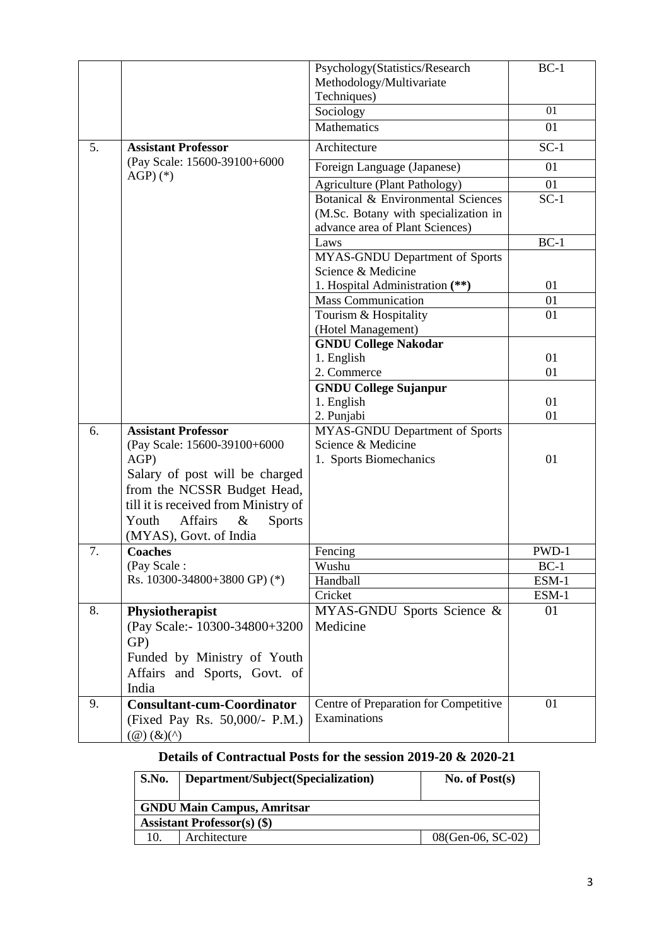|    |                                                            | Psychology(Statistics/Research                               | $BC-1$   |
|----|------------------------------------------------------------|--------------------------------------------------------------|----------|
|    |                                                            | Methodology/Multivariate                                     |          |
|    |                                                            | Techniques)                                                  |          |
|    |                                                            | Sociology                                                    | 01       |
|    |                                                            | <b>Mathematics</b>                                           | 01       |
| 5. | <b>Assistant Professor</b><br>(Pay Scale: 15600-39100+6000 | Architecture                                                 | $SC-1$   |
|    |                                                            | Foreign Language (Japanese)                                  | 01       |
|    | $AGP$ $(*)$                                                | <b>Agriculture (Plant Pathology)</b>                         | 01       |
|    |                                                            | Botanical & Environmental Sciences                           | $SC-1$   |
|    |                                                            | (M.Sc. Botany with specialization in                         |          |
|    |                                                            | advance area of Plant Sciences)                              |          |
|    |                                                            | Laws                                                         | $BC-1$   |
|    |                                                            | MYAS-GNDU Department of Sports                               |          |
|    |                                                            | Science & Medicine                                           |          |
|    |                                                            | 1. Hospital Administration (**)<br><b>Mass Communication</b> | 01<br>01 |
|    |                                                            | Tourism & Hospitality                                        | 01       |
|    |                                                            | (Hotel Management)                                           |          |
|    |                                                            | <b>GNDU College Nakodar</b>                                  |          |
|    |                                                            | 1. English                                                   | 01       |
|    |                                                            | 2. Commerce                                                  | 01       |
|    |                                                            | <b>GNDU College Sujanpur</b>                                 |          |
|    |                                                            | 1. English                                                   | 01       |
|    |                                                            | 2. Punjabi                                                   | 01       |
| 6. | <b>Assistant Professor</b>                                 | MYAS-GNDU Department of Sports                               |          |
|    | (Pay Scale: 15600-39100+6000                               | Science & Medicine                                           |          |
|    | AGP)                                                       | 1. Sports Biomechanics                                       | 01       |
|    | Salary of post will be charged                             |                                                              |          |
|    | from the NCSSR Budget Head,                                |                                                              |          |
|    | till it is received from Ministry of                       |                                                              |          |
|    | Youth<br>Affairs<br>$\&$<br><b>Sports</b>                  |                                                              |          |
|    | (MYAS), Govt. of India                                     |                                                              |          |
| 7. | <b>Coaches</b>                                             | Fencing                                                      | PWD-1    |
|    | (Pay Scale:                                                | Wushu                                                        | $BC-1$   |
|    | Rs. 10300-34800+3800 GP) (*)                               | Handball                                                     | ESM-1    |
|    |                                                            | Cricket                                                      | $ESM-1$  |
| 8. | Physiotherapist                                            | MYAS-GNDU Sports Science &                                   | 01       |
|    | (Pay Scale:- 10300-34800+3200                              | Medicine                                                     |          |
|    | GP)                                                        |                                                              |          |
|    | Funded by Ministry of Youth                                |                                                              |          |
|    | Affairs and Sports, Govt. of<br>India                      |                                                              |          |
| 9. | <b>Consultant-cum-Coordinator</b>                          | Centre of Preparation for Competitive                        | 01       |
|    | (Fixed Pay Rs. 50,000/- P.M.)                              | Examinations                                                 |          |
|    | $(\mathcal{Q})\,(\mathcal{X})(\wedge)$                     |                                                              |          |

# **Details of Contractual Posts for the session 2019-20 & 2020-21**

| S.No.                              | Department/Subject(Specialization) | No. of $Post(s)$  |  |
|------------------------------------|------------------------------------|-------------------|--|
| <b>GNDU Main Campus, Amritsar</b>  |                                    |                   |  |
| <b>Assistant Professor(s) (\$)</b> |                                    |                   |  |
|                                    | Architecture                       | 08(Gen-06, SC-02) |  |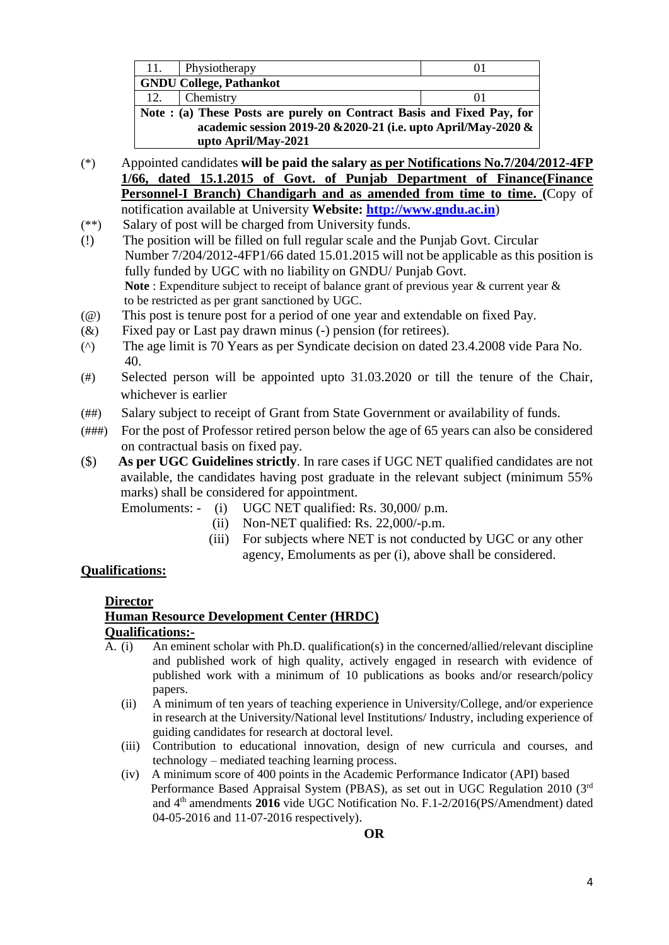| 11.                                                                    | Physiotherapy                  | O I |  |
|------------------------------------------------------------------------|--------------------------------|-----|--|
|                                                                        | <b>GNDU College, Pathankot</b> |     |  |
| 12.                                                                    | Chemistry                      |     |  |
| Note : (a) These Posts are purely on Contract Basis and Fixed Pay, for |                                |     |  |
| academic session 2019-20 & 2020-21 (i.e. upto April/May-2020 &         |                                |     |  |
|                                                                        | upto April/May-2021            |     |  |

- (\*) Appointed candidates **will be paid the salary as per Notifications No.7/204/2012-4FP 1/66, dated 15.1.2015 of Govt. of Punjab Department of Finance(Finance Personnel-I Branch) Chandigarh and as amended from time to time. (**Copy of notification available at University **Website: [http://www.gndu.ac.in](http://www.gndu.ac.in/careerwithus.asp)**)
- (\*\*) Salary of post will be charged from University funds.
- (!) The position will be filled on full regular scale and the Punjab Govt. Circular Number 7/204/2012-4FP1/66 dated 15.01.2015 will not be applicable as this position is fully funded by UGC with no liability on GNDU/ Punjab Govt. **Note** : Expenditure subject to receipt of balance grant of previous year & current year & to be restricted as per grant sanctioned by UGC.
- (@) This post is tenure post for a period of one year and extendable on fixed Pay.
- (&) Fixed pay or Last pay drawn minus (-) pension (for retirees).
- (^) The age limit is 70 Years as per Syndicate decision on dated 23.4.2008 vide Para No. 40.
- (#) Selected person will be appointed upto 31.03.2020 or till the tenure of the Chair, whichever is earlier
- (##) Salary subject to receipt of Grant from State Government or availability of funds.
- (###) For the post of Professor retired person below the age of 65 years can also be considered on contractual basis on fixed pay.
- (\$) **As per UGC Guidelines strictly**. In rare cases if UGC NET qualified candidates are not available, the candidates having post graduate in the relevant subject (minimum 55% marks) shall be considered for appointment.
	- Emoluments: (i) UGC NET qualified: Rs. 30,000/ p.m.
		- (ii) Non-NET qualified: Rs. 22,000/-p.m.
		- (iii) For subjects where NET is not conducted by UGC or any other agency, Emoluments as per (i), above shall be considered.

# **Qualifications:**

# **Director**

# **Human Resource Development Center (HRDC) Qualifications:-**

- $\overline{A}$ . (i) An eminent scholar with Ph.D. qualification(s) in the concerned/allied/relevant discipline and published work of high quality, actively engaged in research with evidence of published work with a minimum of 10 publications as books and/or research/policy papers.
	- (ii) A minimum of ten years of teaching experience in University/College, and/or experience in research at the University/National level Institutions/ Industry, including experience of guiding candidates for research at doctoral level.
	- (iii) Contribution to educational innovation, design of new curricula and courses, and technology – mediated teaching learning process.
	- (iv) A minimum score of 400 points in the Academic Performance Indicator (API) based Performance Based Appraisal System (PBAS), as set out in UGC Regulation 2010 (3rd) and 4th amendments **2016** vide UGC Notification No. F.1-2/2016(PS/Amendment) dated 04-05-2016 and 11-07-2016 respectively).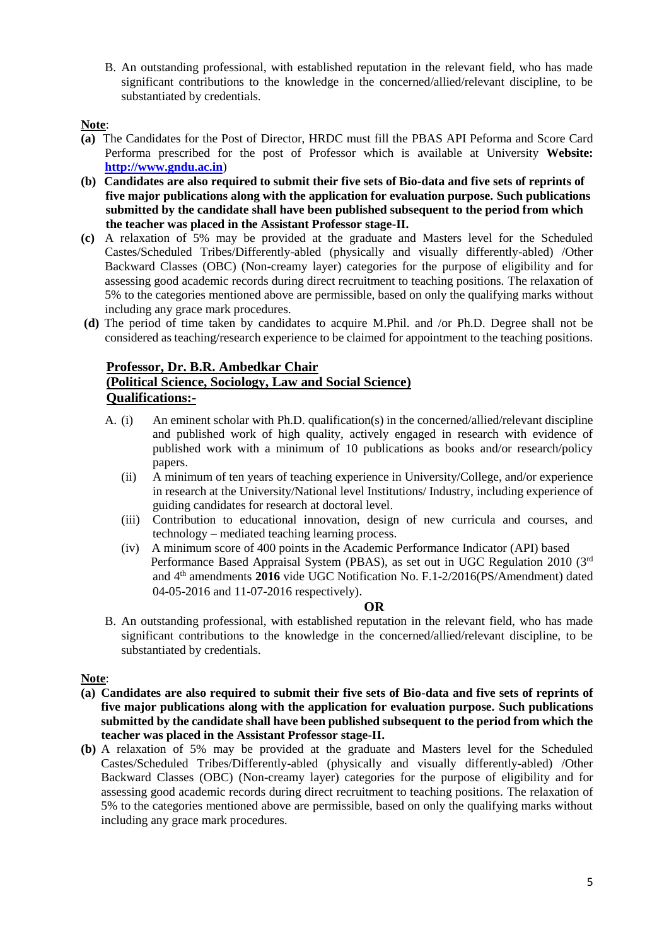B. An outstanding professional, with established reputation in the relevant field, who has made significant contributions to the knowledge in the concerned/allied/relevant discipline, to be substantiated by credentials.

# **Note**:

- **(a)** The Candidates for the Post of Director, HRDC must fill the PBAS API Peforma and Score Card Performa prescribed for the post of Professor which is available at University **Website: [http://www.gndu.ac.in](http://www.gndu.ac.in/careerwithus.asp)**)
- **(b) Candidates are also required to submit their five sets of Bio-data and five sets of reprints of five major publications along with the application for evaluation purpose. Such publications submitted by the candidate shall have been published subsequent to the period from which the teacher was placed in the Assistant Professor stage-II.**
- **(c)** A relaxation of 5% may be provided at the graduate and Masters level for the Scheduled Castes/Scheduled Tribes/Differently-abled (physically and visually differently-abled) /Other Backward Classes (OBC) (Non-creamy layer) categories for the purpose of eligibility and for assessing good academic records during direct recruitment to teaching positions. The relaxation of 5% to the categories mentioned above are permissible, based on only the qualifying marks without including any grace mark procedures.
- **(d)** The period of time taken by candidates to acquire M.Phil. and /or Ph.D. Degree shall not be considered as teaching/research experience to be claimed for appointment to the teaching positions.

# **Professor, Dr. B.R. Ambedkar Chair**

# **(Political Science, Sociology, Law and Social Science) Qualifications:-**

- A. (i) An eminent scholar with Ph.D. qualification(s) in the concerned/allied/relevant discipline and published work of high quality, actively engaged in research with evidence of published work with a minimum of 10 publications as books and/or research/policy papers.
	- (ii) A minimum of ten years of teaching experience in University/College, and/or experience in research at the University/National level Institutions/ Industry, including experience of guiding candidates for research at doctoral level.
	- (iii) Contribution to educational innovation, design of new curricula and courses, and technology – mediated teaching learning process.
	- (iv) A minimum score of 400 points in the Academic Performance Indicator (API) based Performance Based Appraisal System (PBAS), as set out in UGC Regulation 2010 (3rd) and 4th amendments **2016** vide UGC Notification No. F.1-2/2016(PS/Amendment) dated 04-05-2016 and 11-07-2016 respectively).

# **OR**

B. An outstanding professional, with established reputation in the relevant field, who has made significant contributions to the knowledge in the concerned/allied/relevant discipline, to be substantiated by credentials.

# **Note**:

- **(a) Candidates are also required to submit their five sets of Bio-data and five sets of reprints of five major publications along with the application for evaluation purpose. Such publications submitted by the candidate shall have been published subsequent to the period from which the teacher was placed in the Assistant Professor stage-II.**
- **(b)** A relaxation of 5% may be provided at the graduate and Masters level for the Scheduled Castes/Scheduled Tribes/Differently-abled (physically and visually differently-abled) /Other Backward Classes (OBC) (Non-creamy layer) categories for the purpose of eligibility and for assessing good academic records during direct recruitment to teaching positions. The relaxation of 5% to the categories mentioned above are permissible, based on only the qualifying marks without including any grace mark procedures.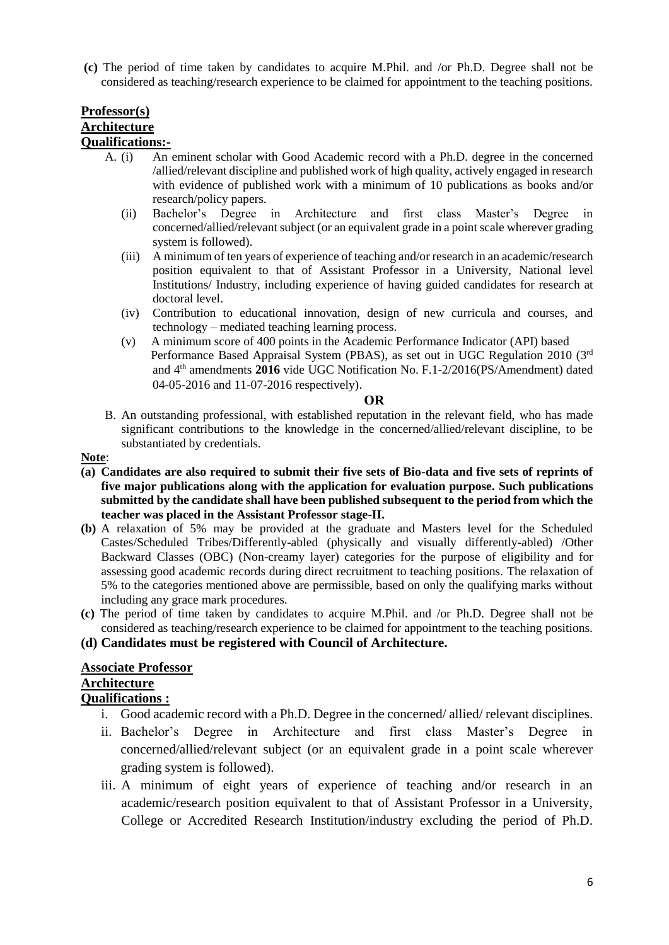**(c)** The period of time taken by candidates to acquire M.Phil. and /or Ph.D. Degree shall not be considered as teaching/research experience to be claimed for appointment to the teaching positions.

# **Professor(s) Architecture Qualifications:-**

- A. (i) An eminent scholar with Good Academic record with a Ph.D. degree in the concerned /allied/relevant discipline and published work of high quality, actively engaged in research with evidence of published work with a minimum of 10 publications as books and/or research/policy papers.
	- (ii) Bachelor's Degree in Architecture and first class Master's Degree in concerned/allied/relevant subject (or an equivalent grade in a point scale wherever grading system is followed).
	- (iii) A minimum of ten years of experience of teaching and/or research in an academic/research position equivalent to that of Assistant Professor in a University, National level Institutions/ Industry, including experience of having guided candidates for research at doctoral level.
	- (iv) Contribution to educational innovation, design of new curricula and courses, and technology – mediated teaching learning process.
	- (v) A minimum score of 400 points in the Academic Performance Indicator (API) based Performance Based Appraisal System (PBAS), as set out in UGC Regulation 2010 (3rd) and 4th amendments **2016** vide UGC Notification No. F.1-2/2016(PS/Amendment) dated 04-05-2016 and 11-07-2016 respectively).

**OR**

B. An outstanding professional, with established reputation in the relevant field, who has made significant contributions to the knowledge in the concerned/allied/relevant discipline, to be substantiated by credentials.

#### **Note**:

- **(a) Candidates are also required to submit their five sets of Bio-data and five sets of reprints of five major publications along with the application for evaluation purpose. Such publications submitted by the candidate shall have been published subsequent to the period from which the teacher was placed in the Assistant Professor stage-II.**
- **(b)** A relaxation of 5% may be provided at the graduate and Masters level for the Scheduled Castes/Scheduled Tribes/Differently-abled (physically and visually differently-abled) /Other Backward Classes (OBC) (Non-creamy layer) categories for the purpose of eligibility and for assessing good academic records during direct recruitment to teaching positions. The relaxation of 5% to the categories mentioned above are permissible, based on only the qualifying marks without including any grace mark procedures.
- **(c)** The period of time taken by candidates to acquire M.Phil. and /or Ph.D. Degree shall not be considered as teaching/research experience to be claimed for appointment to the teaching positions.

# **(d) Candidates must be registered with Council of Architecture.**

# **Associate Professor**

#### **Architecture Qualifications :**

- i. Good academic record with a Ph.D. Degree in the concerned/ allied/ relevant disciplines.
- ii. Bachelor's Degree in Architecture and first class Master's Degree in concerned/allied/relevant subject (or an equivalent grade in a point scale wherever grading system is followed).
- iii. A minimum of eight years of experience of teaching and/or research in an academic/research position equivalent to that of Assistant Professor in a University, College or Accredited Research Institution/industry excluding the period of Ph.D.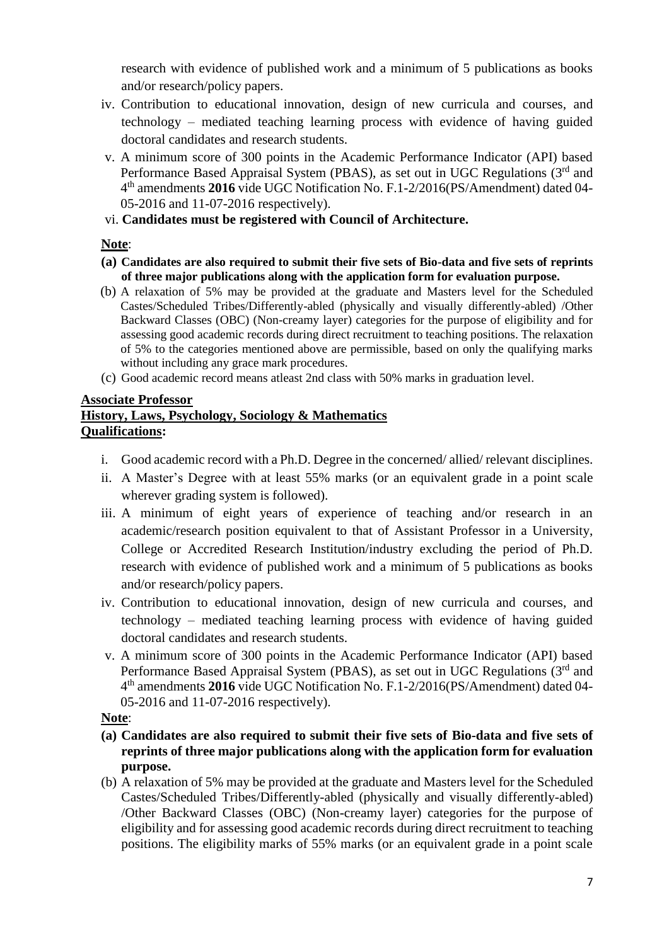research with evidence of published work and a minimum of 5 publications as books and/or research/policy papers.

- iv. Contribution to educational innovation, design of new curricula and courses, and technology – mediated teaching learning process with evidence of having guided doctoral candidates and research students.
- v. A minimum score of 300 points in the Academic Performance Indicator (API) based Performance Based Appraisal System (PBAS), as set out in UGC Regulations (3<sup>rd</sup> and 4 th amendments **2016** vide UGC Notification No. F.1-2/2016(PS/Amendment) dated 04- 05-2016 and 11-07-2016 respectively).
- vi. **Candidates must be registered with Council of Architecture.**

# **Note**:

- **(a) Candidates are also required to submit their five sets of Bio-data and five sets of reprints of three major publications along with the application form for evaluation purpose.**
- (b) A relaxation of 5% may be provided at the graduate and Masters level for the Scheduled Castes/Scheduled Tribes/Differently-abled (physically and visually differently-abled) /Other Backward Classes (OBC) (Non-creamy layer) categories for the purpose of eligibility and for assessing good academic records during direct recruitment to teaching positions. The relaxation of 5% to the categories mentioned above are permissible, based on only the qualifying marks without including any grace mark procedures.
- (c) Good academic record means atleast 2nd class with 50% marks in graduation level.

# **Associate Professor History, Laws, Psychology, Sociology & Mathematics Qualifications:**

- i. Good academic record with a Ph.D. Degree in the concerned/ allied/ relevant disciplines.
- ii. A Master's Degree with at least 55% marks (or an equivalent grade in a point scale wherever grading system is followed).
- iii. A minimum of eight years of experience of teaching and/or research in an academic/research position equivalent to that of Assistant Professor in a University, College or Accredited Research Institution/industry excluding the period of Ph.D. research with evidence of published work and a minimum of 5 publications as books and/or research/policy papers.
- iv. Contribution to educational innovation, design of new curricula and courses, and technology – mediated teaching learning process with evidence of having guided doctoral candidates and research students.
- v. A minimum score of 300 points in the Academic Performance Indicator (API) based Performance Based Appraisal System (PBAS), as set out in UGC Regulations (3<sup>rd</sup> and 4 th amendments **2016** vide UGC Notification No. F.1-2/2016(PS/Amendment) dated 04- 05-2016 and 11-07-2016 respectively).

# **Note**:

- **(a) Candidates are also required to submit their five sets of Bio-data and five sets of reprints of three major publications along with the application form for evaluation purpose.**
- (b) A relaxation of 5% may be provided at the graduate and Masters level for the Scheduled Castes/Scheduled Tribes/Differently-abled (physically and visually differently-abled) /Other Backward Classes (OBC) (Non-creamy layer) categories for the purpose of eligibility and for assessing good academic records during direct recruitment to teaching positions. The eligibility marks of 55% marks (or an equivalent grade in a point scale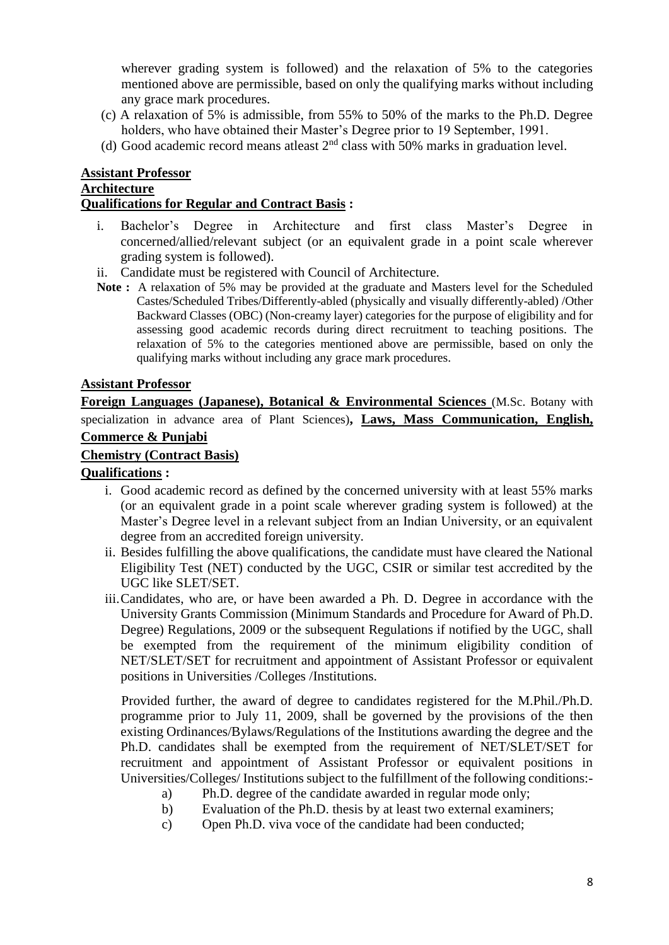wherever grading system is followed) and the relaxation of 5% to the categories mentioned above are permissible, based on only the qualifying marks without including any grace mark procedures.

- (c) A relaxation of 5% is admissible, from 55% to 50% of the marks to the Ph.D. Degree holders, who have obtained their Master's Degree prior to 19 September, 1991.
- (d) Good academic record means at least  $2<sup>nd</sup>$  class with 50% marks in graduation level.

#### **Assistant Professor Architecture Qualifications for Regular and Contract Basis :**

- i. Bachelor's Degree in Architecture and first class Master's Degree in concerned/allied/relevant subject (or an equivalent grade in a point scale wherever grading system is followed).
- ii. Candidate must be registered with Council of Architecture.
- **Note :** A relaxation of 5% may be provided at the graduate and Masters level for the Scheduled Castes/Scheduled Tribes/Differently-abled (physically and visually differently-abled) /Other Backward Classes (OBC) (Non-creamy layer) categories for the purpose of eligibility and for assessing good academic records during direct recruitment to teaching positions. The relaxation of 5% to the categories mentioned above are permissible, based on only the qualifying marks without including any grace mark procedures.

# **Assistant Professor**

**Foreign Languages (Japanese), Botanical & Environmental Sciences** (M.Sc. Botany with specialization in advance area of Plant Sciences)**, Laws, Mass Communication, English, Commerce & Punjabi**

# **Chemistry (Contract Basis)**

# **Qualifications :**

- i. Good academic record as defined by the concerned university with at least 55% marks (or an equivalent grade in a point scale wherever grading system is followed) at the Master's Degree level in a relevant subject from an Indian University, or an equivalent degree from an accredited foreign university.
- ii. Besides fulfilling the above qualifications, the candidate must have cleared the National Eligibility Test (NET) conducted by the UGC, CSIR or similar test accredited by the UGC like SLET/SET.
- iii.Candidates, who are, or have been awarded a Ph. D. Degree in accordance with the University Grants Commission (Minimum Standards and Procedure for Award of Ph.D. Degree) Regulations, 2009 or the subsequent Regulations if notified by the UGC, shall be exempted from the requirement of the minimum eligibility condition of NET/SLET/SET for recruitment and appointment of Assistant Professor or equivalent positions in Universities /Colleges /Institutions.

Provided further, the award of degree to candidates registered for the M.Phil./Ph.D. programme prior to July 11, 2009, shall be governed by the provisions of the then existing Ordinances/Bylaws/Regulations of the Institutions awarding the degree and the Ph.D. candidates shall be exempted from the requirement of NET/SLET/SET for recruitment and appointment of Assistant Professor or equivalent positions in Universities/Colleges/ Institutions subject to the fulfillment of the following conditions:-

- a) Ph.D. degree of the candidate awarded in regular mode only;
- b) Evaluation of the Ph.D. thesis by at least two external examiners;
- c) Open Ph.D. viva voce of the candidate had been conducted;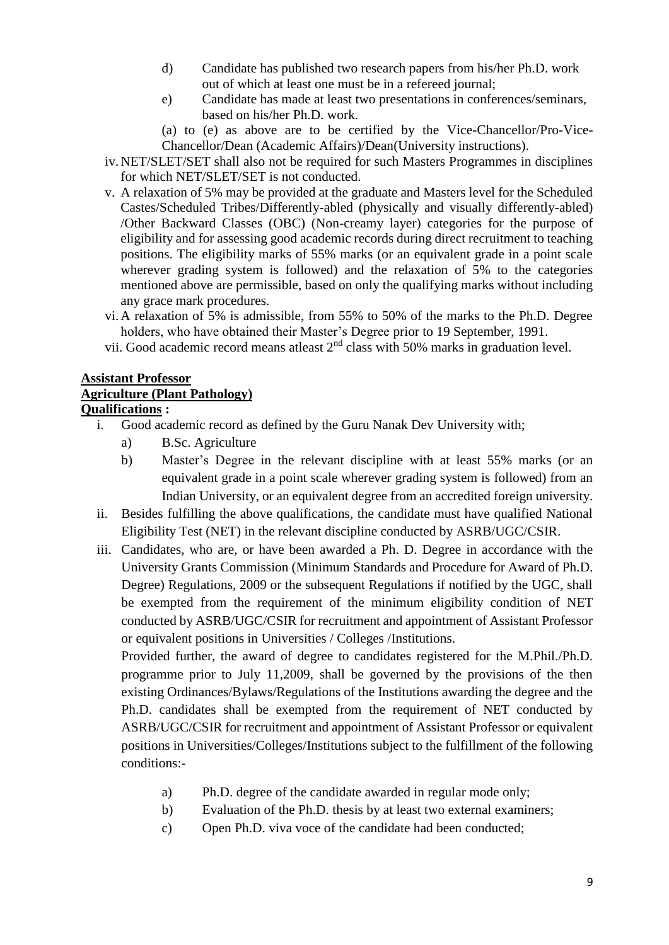- d) Candidate has published two research papers from his/her Ph.D. work out of which at least one must be in a refereed journal;
- e) Candidate has made at least two presentations in conferences/seminars, based on his/her Ph.D. work.
- (a) to (e) as above are to be certified by the Vice-Chancellor/Pro-Vice-Chancellor/Dean (Academic Affairs)/Dean(University instructions).
- iv.NET/SLET/SET shall also not be required for such Masters Programmes in disciplines for which NET/SLET/SET is not conducted.
- v. A relaxation of 5% may be provided at the graduate and Masters level for the Scheduled Castes/Scheduled Tribes/Differently-abled (physically and visually differently-abled) /Other Backward Classes (OBC) (Non-creamy layer) categories for the purpose of eligibility and for assessing good academic records during direct recruitment to teaching positions. The eligibility marks of 55% marks (or an equivalent grade in a point scale wherever grading system is followed) and the relaxation of 5% to the categories mentioned above are permissible, based on only the qualifying marks without including any grace mark procedures.
- vi.A relaxation of 5% is admissible, from 55% to 50% of the marks to the Ph.D. Degree holders, who have obtained their Master's Degree prior to 19 September, 1991.
- vii. Good academic record means at least  $2<sup>nd</sup>$  class with 50% marks in graduation level.

# **Assistant Professor Agriculture (Plant Pathology) Qualifications :**

- i. Good academic record as defined by the Guru Nanak Dev University with;
	- a) B.Sc. Agriculture
	- b) Master's Degree in the relevant discipline with at least 55% marks (or an equivalent grade in a point scale wherever grading system is followed) from an Indian University, or an equivalent degree from an accredited foreign university.
- ii. Besides fulfilling the above qualifications, the candidate must have qualified National Eligibility Test (NET) in the relevant discipline conducted by ASRB/UGC/CSIR.
- iii. Candidates, who are, or have been awarded a Ph. D. Degree in accordance with the University Grants Commission (Minimum Standards and Procedure for Award of Ph.D. Degree) Regulations, 2009 or the subsequent Regulations if notified by the UGC, shall be exempted from the requirement of the minimum eligibility condition of NET conducted by ASRB/UGC/CSIR for recruitment and appointment of Assistant Professor or equivalent positions in Universities / Colleges /Institutions.

Provided further, the award of degree to candidates registered for the M.Phil./Ph.D. programme prior to July 11,2009, shall be governed by the provisions of the then existing Ordinances/Bylaws/Regulations of the Institutions awarding the degree and the Ph.D. candidates shall be exempted from the requirement of NET conducted by ASRB/UGC/CSIR for recruitment and appointment of Assistant Professor or equivalent positions in Universities/Colleges/Institutions subject to the fulfillment of the following conditions:-

- a) Ph.D. degree of the candidate awarded in regular mode only;
- b) Evaluation of the Ph.D. thesis by at least two external examiners;
- c) Open Ph.D. viva voce of the candidate had been conducted;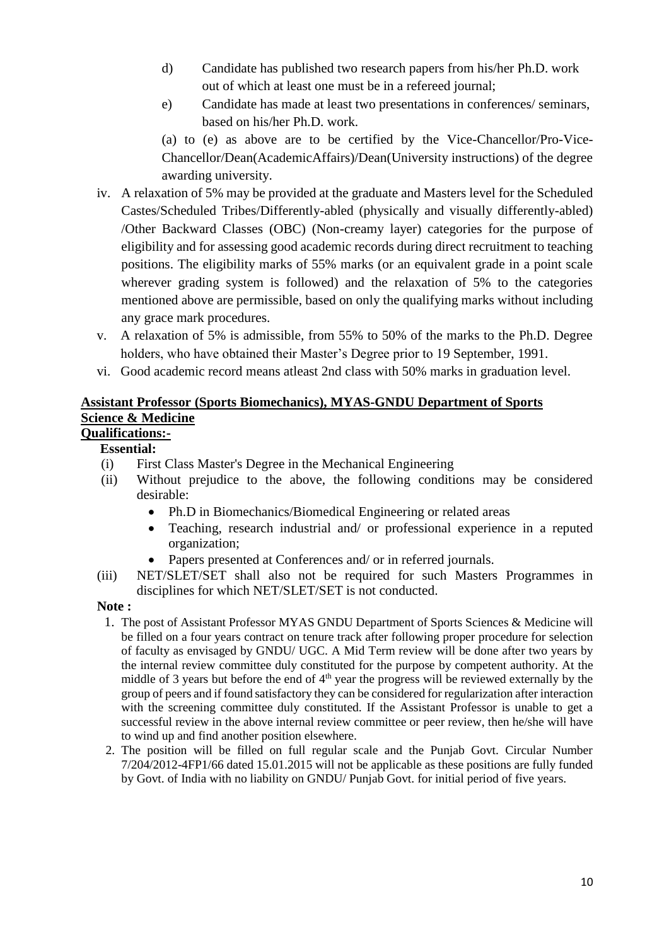- d) Candidate has published two research papers from his/her Ph.D. work out of which at least one must be in a refereed journal;
- e) Candidate has made at least two presentations in conferences/ seminars, based on his/her Ph.D. work.

(a) to (e) as above are to be certified by the Vice-Chancellor/Pro-Vice-Chancellor/Dean(AcademicAffairs)/Dean(University instructions) of the degree awarding university.

- iv. A relaxation of 5% may be provided at the graduate and Masters level for the Scheduled Castes/Scheduled Tribes/Differently-abled (physically and visually differently-abled) /Other Backward Classes (OBC) (Non-creamy layer) categories for the purpose of eligibility and for assessing good academic records during direct recruitment to teaching positions. The eligibility marks of 55% marks (or an equivalent grade in a point scale wherever grading system is followed) and the relaxation of 5% to the categories mentioned above are permissible, based on only the qualifying marks without including any grace mark procedures.
- v. A relaxation of 5% is admissible, from 55% to 50% of the marks to the Ph.D. Degree holders, who have obtained their Master's Degree prior to 19 September, 1991.
- vi. Good academic record means atleast 2nd class with 50% marks in graduation level.

# **Assistant Professor (Sports Biomechanics), MYAS-GNDU Department of Sports Science & Medicine**

# **Qualifications:-**

# **Essential:**

- (i) First Class Master's Degree in the Mechanical Engineering
- (ii) Without prejudice to the above, the following conditions may be considered desirable:
	- Ph.D in Biomechanics/Biomedical Engineering or related areas
	- Teaching, research industrial and/ or professional experience in a reputed organization;
	- Papers presented at Conferences and/ or in referred journals.
- (iii) NET/SLET/SET shall also not be required for such Masters Programmes in disciplines for which NET/SLET/SET is not conducted.

# **Note :**

- 1. The post of Assistant Professor MYAS GNDU Department of Sports Sciences & Medicine will be filled on a four years contract on tenure track after following proper procedure for selection of faculty as envisaged by GNDU/ UGC. A Mid Term review will be done after two years by the internal review committee duly constituted for the purpose by competent authority. At the middle of 3 years but before the end of  $4<sup>th</sup>$  year the progress will be reviewed externally by the group of peers and if found satisfactory they can be considered for regularization after interaction with the screening committee duly constituted. If the Assistant Professor is unable to get a successful review in the above internal review committee or peer review, then he/she will have to wind up and find another position elsewhere.
- 2. The position will be filled on full regular scale and the Punjab Govt. Circular Number 7/204/2012-4FP1/66 dated 15.01.2015 will not be applicable as these positions are fully funded by Govt. of India with no liability on GNDU/ Punjab Govt. for initial period of five years.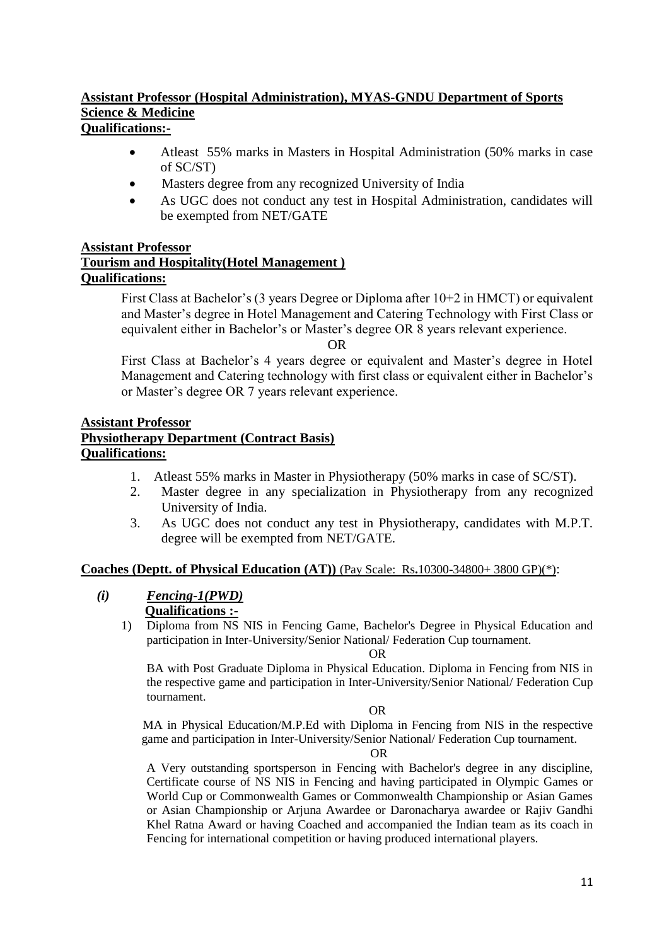# **Assistant Professor (Hospital Administration), MYAS-GNDU Department of Sports Science & Medicine Qualifications:-**

- Atleast 55% marks in Masters in Hospital Administration (50% marks in case of SC/ST)
- Masters degree from any recognized University of India
- As UGC does not conduct any test in Hospital Administration, candidates will be exempted from NET/GATE

# **Assistant Professor**

# **Tourism and Hospitality(Hotel Management ) Qualifications:**

First Class at Bachelor's (3 years Degree or Diploma after 10+2 in HMCT) or equivalent and Master's degree in Hotel Management and Catering Technology with First Class or equivalent either in Bachelor's or Master's degree OR 8 years relevant experience.

OR

First Class at Bachelor's 4 years degree or equivalent and Master's degree in Hotel Management and Catering technology with first class or equivalent either in Bachelor's or Master's degree OR 7 years relevant experience.

# **Assistant Professor Physiotherapy Department (Contract Basis) Qualifications:**

- 1. Atleast 55% marks in Master in Physiotherapy (50% marks in case of SC/ST).
- 2. Master degree in any specialization in Physiotherapy from any recognized University of India.
- 3. As UGC does not conduct any test in Physiotherapy, candidates with M.P.T. degree will be exempted from NET/GATE.

# **Coaches (Deptt. of Physical Education (AT))** (Pay Scale: Rs**.**10300-34800+ 3800 GP)(\*):

- *(i) Fencing-1(PWD)* **Qualifications :-**
	- 1) Diploma from NS NIS in Fencing Game, Bachelor's Degree in Physical Education and participation in Inter-University/Senior National/ Federation Cup tournament.

OR

BA with Post Graduate Diploma in Physical Education. Diploma in Fencing from NIS in the respective game and participation in Inter-University/Senior National/ Federation Cup tournament.

OR

 MA in Physical Education/M.P.Ed with Diploma in Fencing from NIS in the respective game and participation in Inter-University/Senior National/ Federation Cup tournament.

#### OR

A Very outstanding sportsperson in Fencing with Bachelor's degree in any discipline, Certificate course of NS NIS in Fencing and having participated in Olympic Games or World Cup or Commonwealth Games or Commonwealth Championship or Asian Games or Asian Championship or Arjuna Awardee or Daronacharya awardee or Rajiv Gandhi Khel Ratna Award or having Coached and accompanied the Indian team as its coach in Fencing for international competition or having produced international players.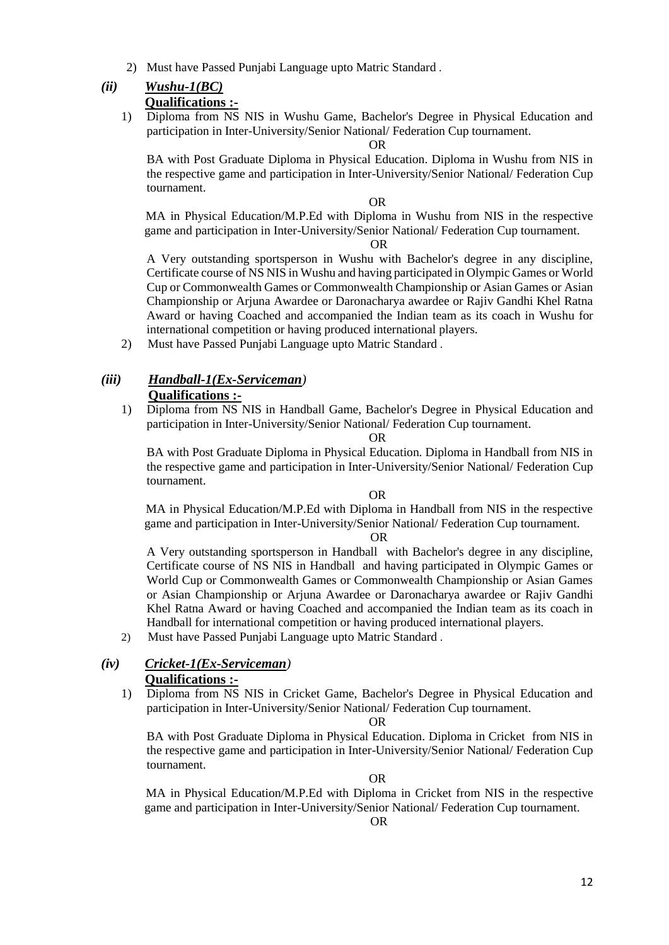2) Must have Passed Punjabi Language upto Matric Standard .

# *(ii) Wushu-1(BC)*

 **Qualifications :-**

1) Diploma from NS NIS in Wushu Game, Bachelor's Degree in Physical Education and participation in Inter-University/Senior National/ Federation Cup tournament.

OR

BA with Post Graduate Diploma in Physical Education. Diploma in Wushu from NIS in the respective game and participation in Inter-University/Senior National/ Federation Cup tournament.

OR

 MA in Physical Education/M.P.Ed with Diploma in Wushu from NIS in the respective game and participation in Inter-University/Senior National/ Federation Cup tournament.

OR

A Very outstanding sportsperson in Wushu with Bachelor's degree in any discipline, Certificate course of NS NIS in Wushu and having participated in Olympic Games or World Cup or Commonwealth Games or Commonwealth Championship or Asian Games or Asian Championship or Arjuna Awardee or Daronacharya awardee or Rajiv Gandhi Khel Ratna Award or having Coached and accompanied the Indian team as its coach in Wushu for international competition or having produced international players.

2) Must have Passed Punjabi Language upto Matric Standard .

# *(iii) Handball-1(Ex-Serviceman)*  **Qualifications :-**

1) Diploma from NS NIS in Handball Game, Bachelor's Degree in Physical Education and participation in Inter-University/Senior National/ Federation Cup tournament.

#### OR

BA with Post Graduate Diploma in Physical Education. Diploma in Handball from NIS in the respective game and participation in Inter-University/Senior National/ Federation Cup tournament.

#### OR

 MA in Physical Education/M.P.Ed with Diploma in Handball from NIS in the respective game and participation in Inter-University/Senior National/ Federation Cup tournament.

#### OR

A Very outstanding sportsperson in Handball with Bachelor's degree in any discipline, Certificate course of NS NIS in Handball and having participated in Olympic Games or World Cup or Commonwealth Games or Commonwealth Championship or Asian Games or Asian Championship or Arjuna Awardee or Daronacharya awardee or Rajiv Gandhi Khel Ratna Award or having Coached and accompanied the Indian team as its coach in Handball for international competition or having produced international players.

2) Must have Passed Punjabi Language upto Matric Standard .

#### *(iv) Cricket-1(Ex-Serviceman)*   **Qualifications :-**

1) Diploma from NS NIS in Cricket Game, Bachelor's Degree in Physical Education and participation in Inter-University/Senior National/ Federation Cup tournament.

#### OR

BA with Post Graduate Diploma in Physical Education. Diploma in Cricket from NIS in the respective game and participation in Inter-University/Senior National/ Federation Cup tournament.

#### OR

 MA in Physical Education/M.P.Ed with Diploma in Cricket from NIS in the respective game and participation in Inter-University/Senior National/ Federation Cup tournament.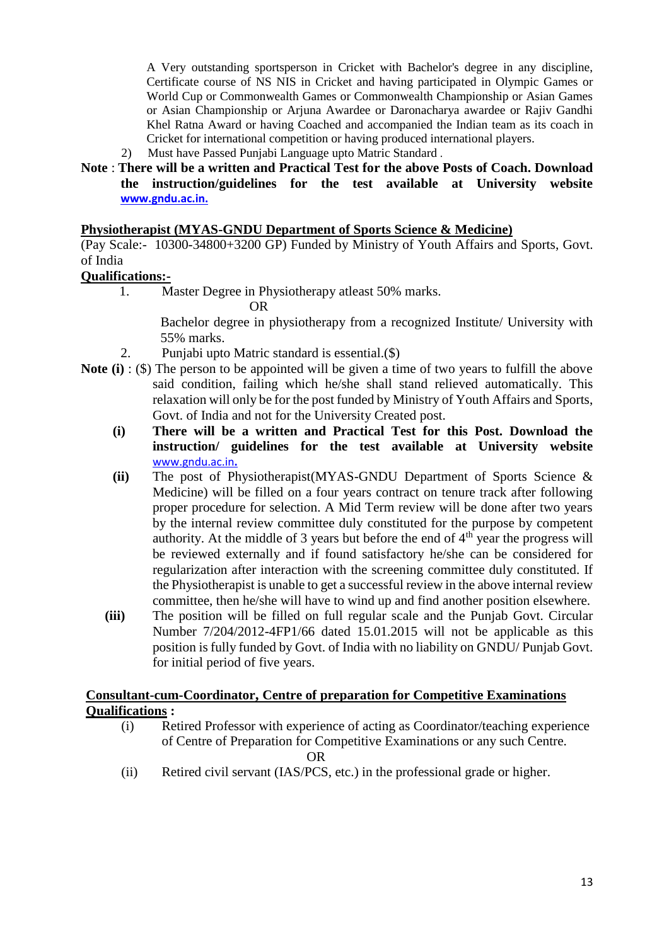A Very outstanding sportsperson in Cricket with Bachelor's degree in any discipline, Certificate course of NS NIS in Cricket and having participated in Olympic Games or World Cup or Commonwealth Games or Commonwealth Championship or Asian Games or Asian Championship or Arjuna Awardee or Daronacharya awardee or Rajiv Gandhi Khel Ratna Award or having Coached and accompanied the Indian team as its coach in Cricket for international competition or having produced international players.

- 2) Must have Passed Punjabi Language upto Matric Standard .
- **Note** : **There will be a written and Practical Test for the above Posts of Coach. Download the instruction/guidelines for the test available at University website [www.gndu.ac.in.](http://www.gndu.ac.in/)**

#### **Physiotherapist (MYAS-GNDU Department of Sports Science & Medicine)**

(Pay Scale:- 10300-34800+3200 GP) Funded by Ministry of Youth Affairs and Sports, Govt. of India

#### **Qualifications:-**

1. Master Degree in Physiotherapy atleast 50% marks.

OR

Bachelor degree in physiotherapy from a recognized Institute/ University with 55% marks.

- 2. Punjabi upto Matric standard is essential.(\$)
- **Note (i)** : (\$) The person to be appointed will be given a time of two years to fulfill the above said condition, failing which he/she shall stand relieved automatically. This relaxation will only be for the post funded by Ministry of Youth Affairs and Sports, Govt. of India and not for the University Created post.
	- **(i) There will be a written and Practical Test for this Post. Download the instruction/ guidelines for the test available at University website** [www.gndu.ac.in](http://www.gndu.ac.in/)**.**
	- **(ii)** The post of Physiotherapist(MYAS-GNDU Department of Sports Science & Medicine) will be filled on a four years contract on tenure track after following proper procedure for selection. A Mid Term review will be done after two years by the internal review committee duly constituted for the purpose by competent authority. At the middle of 3 years but before the end of  $4<sup>th</sup>$  year the progress will be reviewed externally and if found satisfactory he/she can be considered for regularization after interaction with the screening committee duly constituted. If the Physiotherapist is unable to get a successful review in the above internal review committee, then he/she will have to wind up and find another position elsewhere.
	- **(iii)** The position will be filled on full regular scale and the Punjab Govt. Circular Number 7/204/2012-4FP1/66 dated 15.01.2015 will not be applicable as this position is fully funded by Govt. of India with no liability on GNDU/ Punjab Govt. for initial period of five years.

# **Consultant-cum-Coordinator, Centre of preparation for Competitive Examinations Qualifications :**

(i) Retired Professor with experience of acting as Coordinator/teaching experience of Centre of Preparation for Competitive Examinations or any such Centre.

**OR** OF THE STATE OF THE STATE OF THE STATE OF THE STATE OF THE STATE OF THE STATE OF THE STATE OF THE STATE OF THE STATE OF THE STATE OF THE STATE OF THE STATE OF THE STATE OF THE STATE OF THE STATE OF THE STATE OF THE ST

(ii) Retired civil servant (IAS/PCS, etc.) in the professional grade or higher.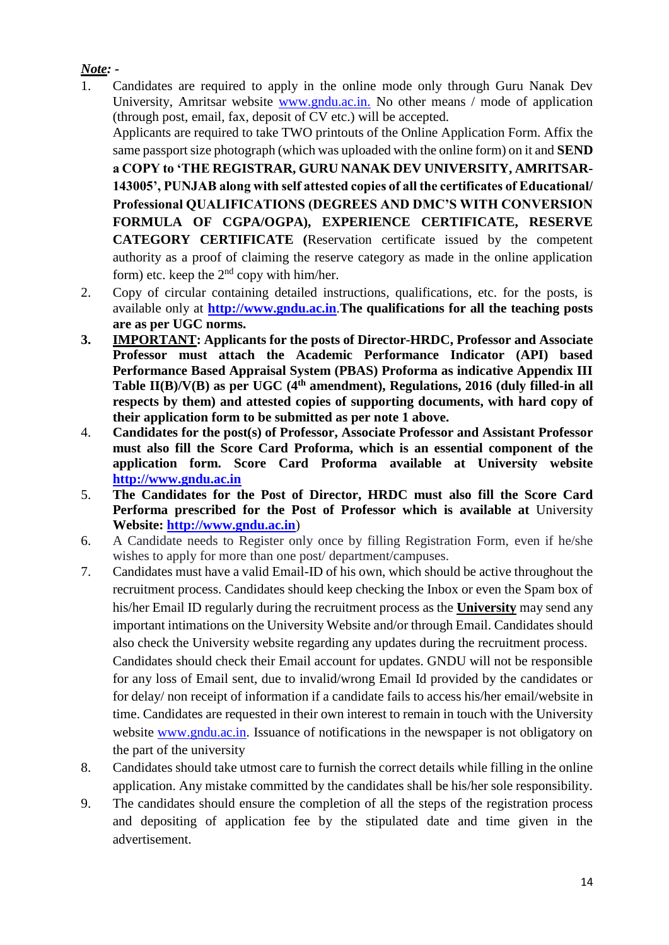# *Note: -*

1. Candidates are required to apply in the online mode only through Guru Nanak Dev University, Amritsar website www.gndu.ac.in. No other means / mode of application (through post, email, fax, deposit of CV etc.) will be accepted.

Applicants are required to take TWO printouts of the Online Application Form. Affix the same passport size photograph (which was uploaded with the online form) on it and **SEND** 

**a COPY to 'THE REGISTRAR, GURU NANAK DEV UNIVERSITY, AMRITSAR-143005', PUNJAB along with self attested copies of all the certificates of Educational/ Professional QUALIFICATIONS (DEGREES AND DMC'S WITH CONVERSION FORMULA OF CGPA/OGPA), EXPERIENCE CERTIFICATE, RESERVE CATEGORY CERTIFICATE (**Reservation certificate issued by the competent authority as a proof of claiming the reserve category as made in the online application form) etc. keep the  $2<sup>nd</sup>$  copy with him/her.

- 2. Copy of circular containing detailed instructions, qualifications, etc. for the posts, is available only at **[http://www.gndu.ac.in](http://www.gndu.ac.in/)**.**The qualifications for all the teaching posts are as per UGC norms.**
- **3. IMPORTANT: Applicants for the posts of Director-HRDC, Professor and Associate Professor must attach the Academic Performance Indicator (API) based Performance Based Appraisal System (PBAS) Proforma as indicative Appendix III Table II(B)/V(B) as per UGC (4th amendment), Regulations, 2016 (duly filled-in all respects by them) and attested copies of supporting documents, with hard copy of their application form to be submitted as per note 1 above.**
- 4. **Candidates for the post(s) of Professor, Associate Professor and Assistant Professor must also fill the Score Card Proforma, which is an essential component of the application form. Score Card Proforma available at University website [http://www.gndu.ac.in](http://www.gndu.ac.in/)**
- 5. **The Candidates for the Post of Director, HRDC must also fill the Score Card Performa prescribed for the Post of Professor which is available at** University **Website: [http://www.gndu.ac.in](http://www.gndu.ac.in/careerwithus.asp)**)
- 6. A Candidate needs to Register only once by filling Registration Form, even if he/she wishes to apply for more than one post/ department/campuses.
- 7. Candidates must have a valid Email-ID of his own, which should be active throughout the recruitment process. Candidates should keep checking the Inbox or even the Spam box of his/her Email ID regularly during the recruitment process as the **University** may send any important intimations on the University Website and/or through Email. Candidates should also check the University website regarding any updates during the recruitment process. Candidates should check their Email account for updates. GNDU will not be responsible for any loss of Email sent, due to invalid/wrong Email Id provided by the candidates or for delay/ non receipt of information if a candidate fails to access his/her email/website in time. Candidates are requested in their own interest to remain in touch with the University website [www.gndu.ac.in.](http://www.gndu.ac.in/) Issuance of notifications in the newspaper is not obligatory on the part of the university
- 8. Candidates should take utmost care to furnish the correct details while filling in the online application. Any mistake committed by the candidates shall be his/her sole responsibility.
- 9. The candidates should ensure the completion of all the steps of the registration process and depositing of application fee by the stipulated date and time given in the advertisement.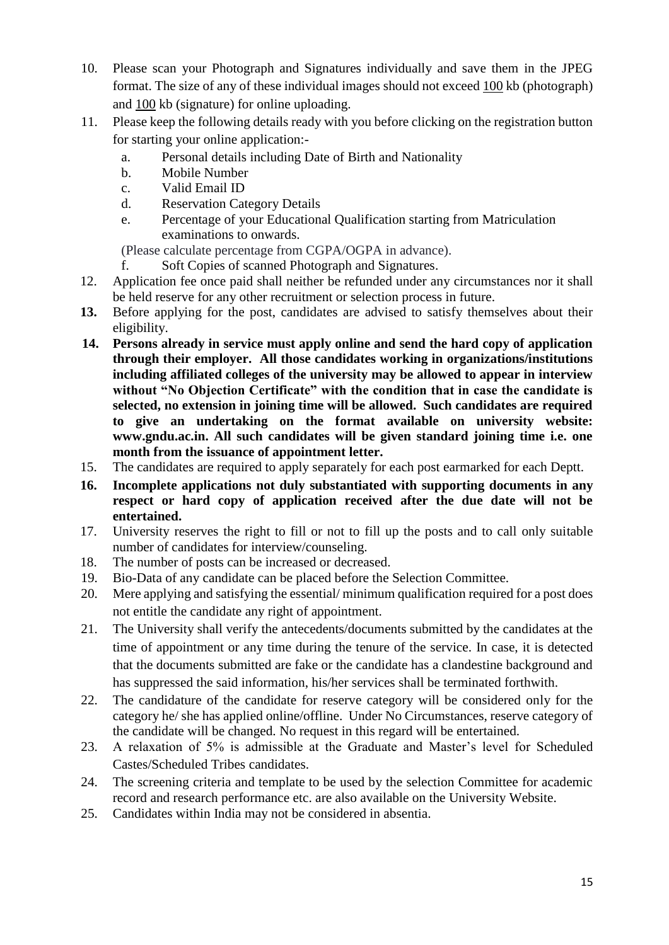- 10. Please scan your Photograph and Signatures individually and save them in the JPEG format. The size of any of these individual images should not exceed 100 kb (photograph) and 100 kb (signature) for online uploading.
- 11. Please keep the following details ready with you before clicking on the registration button for starting your online application:
	- a. Personal details including Date of Birth and Nationality
	- b. Mobile Number
	- c. Valid Email ID
	- d. Reservation Category Details
	- e. Percentage of your Educational Qualification starting from Matriculation examinations to onwards.

(Please calculate percentage from CGPA/OGPA in advance).

- f. Soft Copies of scanned Photograph and Signatures.
- 12. Application fee once paid shall neither be refunded under any circumstances nor it shall be held reserve for any other recruitment or selection process in future.
- **13.** Before applying for the post, candidates are advised to satisfy themselves about their eligibility.
- **14. Persons already in service must apply online and send the hard copy of application through their employer. All those candidates working in organizations/institutions including affiliated colleges of the university may be allowed to appear in interview without "No Objection Certificate" with the condition that in case the candidate is selected, no extension in joining time will be allowed. Such candidates are required to give an undertaking on the format available on university website: www.gndu.ac.in. All such candidates will be given standard joining time i.e. one month from the issuance of appointment letter.**
- 15. The candidates are required to apply separately for each post earmarked for each Deptt.
- **16. Incomplete applications not duly substantiated with supporting documents in any respect or hard copy of application received after the due date will not be entertained.**
- 17. University reserves the right to fill or not to fill up the posts and to call only suitable number of candidates for interview/counseling.
- 18. The number of posts can be increased or decreased.
- 19. Bio-Data of any candidate can be placed before the Selection Committee.
- 20. Mere applying and satisfying the essential/ minimum qualification required for a post does not entitle the candidate any right of appointment.
- 21. The University shall verify the antecedents/documents submitted by the candidates at the time of appointment or any time during the tenure of the service. In case, it is detected that the documents submitted are fake or the candidate has a clandestine background and has suppressed the said information, his/her services shall be terminated forthwith.
- 22. The candidature of the candidate for reserve category will be considered only for the category he/ she has applied online/offline. Under No Circumstances, reserve category of the candidate will be changed. No request in this regard will be entertained.
- 23. A relaxation of 5% is admissible at the Graduate and Master's level for Scheduled Castes/Scheduled Tribes candidates.
- 24. The screening criteria and template to be used by the selection Committee for academic record and research performance etc. are also available on the University Website.
- 25. Candidates within India may not be considered in absentia.